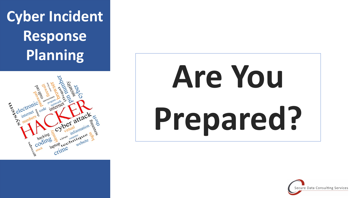





# **Are You Prepared?**

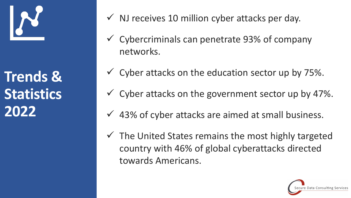

**Trends & Statistics 2022**

- $\checkmark$  NJ receives 10 million cyber attacks per day.
- $\checkmark$  Cybercriminals can penetrate 93% of company networks.
- $\checkmark$  Cyber attacks on the education sector up by 75%.
- $\checkmark$  Cyber attacks on the government sector up by 47%.
- $\checkmark$  43% of cyber attacks are aimed at small business.
- $\checkmark$  The United States remains the most highly targeted country with 46% of global cyberattacks directed towards Americans.

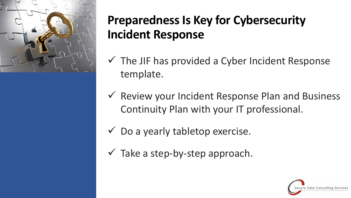

# **Preparedness Is Key for Cybersecurity Incident Response**

- $\checkmark$  The JIF has provided a Cyber Incident Response template.
- $\checkmark$  Review your Incident Response Plan and Business Continuity Plan with your IT professional.
- $\checkmark$  Do a yearly tabletop exercise.
- $\checkmark$  Take a step-by-step approach.

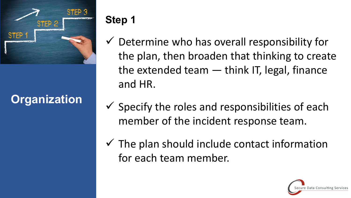

# **Organization**

## **Step 1**

- $\checkmark$  Determine who has overall responsibility for the plan, then broaden that thinking to create the extended team — think IT, legal, finance and HR.
- $\checkmark$  Specify the roles and responsibilities of each member of the incident response team.
- $\checkmark$  The plan should include contact information for each team member.

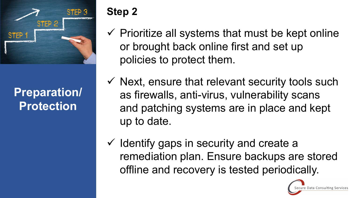

**Preparation/ Protection**

## **Step 2**

- $\checkmark$  Prioritize all systems that must be kept online or brought back online first and set up policies to protect them.
- $\checkmark$  Next, ensure that relevant security tools such as firewalls, anti-virus, vulnerability scans and patching systems are in place and kept up to date.
- $\checkmark$  Identify gaps in security and create a remediation plan. Ensure backups are stored offline and recovery is tested periodically.

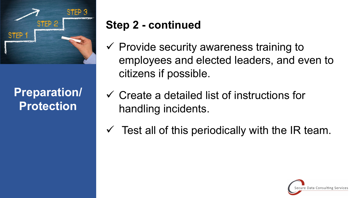

# **Preparation/ Protection**

# **Step 2 - continued**

- $\checkmark$  Provide security awareness training to employees and elected leaders, and even to citizens if possible.
- $\checkmark$  Create a detailed list of instructions for handling incidents.
- $\checkmark$  Test all of this periodically with the IR team.

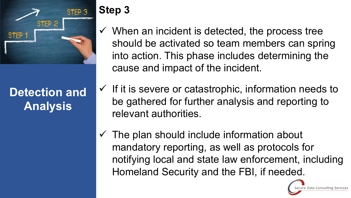

**Detection and Analysis**

- **Step 3**
- $\checkmark$  When an incident is detected, the process tree should be activated so team members can spring into action. This phase includes determining the cause and impact of the incident.
- $\checkmark$  If it is severe or catastrophic, information needs to be gathered for further analysis and reporting to relevant authorities.
- $\checkmark$  The plan should include information about mandatory reporting, as well as protocols for notifying local and state law enforcement, including Homeland Security and the FBI, if needed.

Data Consulting Services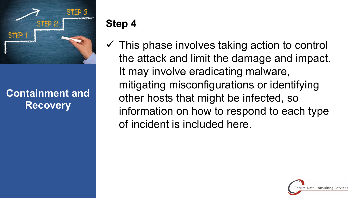

#### **Containment and Recovery**

## **Step 4**

 $\checkmark$  This phase involves taking action to control the attack and limit the damage and impact. It may involve eradicating malware, mitigating misconfigurations or identifying other hosts that might be infected, so information on how to respond to each type of incident is included here.

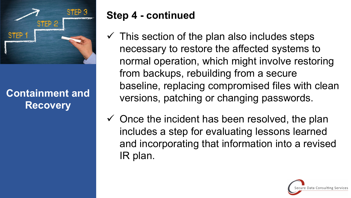

#### **Containment and Recovery**

## **Step 4 - continued**

- $\checkmark$  This section of the plan also includes steps necessary to restore the affected systems to normal operation, which might involve restoring from backups, rebuilding from a secure baseline, replacing compromised files with clean versions, patching or changing passwords.
- $\checkmark$  Once the incident has been resolved, the plan includes a step for evaluating lessons learned and incorporating that information into a revised IR plan.

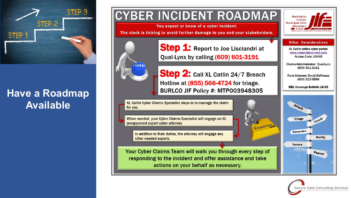

#### **Have a Roadmap Available**



BURLCO JIF Policy #: MTP003948305

XL Catlin Cyber Claims Specialist steps in to manage the claim for you

When needed, your Cyber Claims Specialist will engage an XL preapproved expert cyber attorney

In addition to their duties, the attorney will engage any other needed experts

Your Cyber Claims Team will walk you through every step of responding to the incident and offer assistance and take actions on your behalf as necessary.



Expertise,

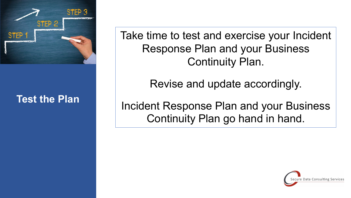

#### **Test the Plan**

Take time to test and exercise your Incident Response Plan and your Business Continuity Plan.

Revise and update accordingly.

Incident Response Plan and your Business Continuity Plan go hand in hand.